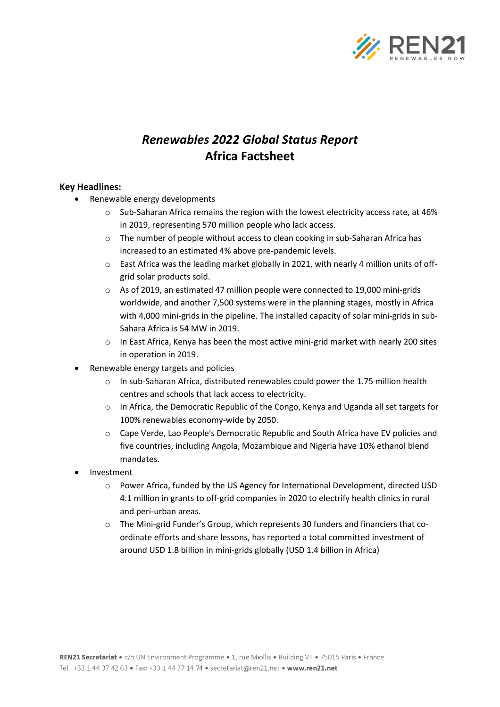

## *Renewables 2022 Global Status Report* **Africa Factsheet**

## **Key Headlines:**

- Renewable energy developments
	- $\circ$  Sub-Saharan Africa remains the region with the lowest electricity access rate, at 46% in 2019, representing 570 million people who lack access.
	- $\circ$  The number of people without access to clean cooking in sub-Saharan Africa has increased to an estimated 4% above pre-pandemic levels.
	- $\circ$  East Africa was the leading market globally in 2021, with nearly 4 million units of offgrid solar products sold.
	- $\circ$  As of 2019, an estimated 47 million people were connected to 19,000 mini-grids worldwide, and another 7,500 systems were in the planning stages, mostly in Africa with 4,000 mini-grids in the pipeline. The installed capacity of solar mini-grids in sub-Sahara Africa is 54 MW in 2019.
	- $\circ$  In East Africa, Kenya has been the most active mini-grid market with nearly 200 sites in operation in 2019.
- Renewable energy targets and policies
	- o In sub-Saharan Africa, distributed renewables could power the 1.75 million health centres and schools that lack access to electricity.
	- o In Africa, the Democratic Republic of the Congo, Kenya and Uganda all set targets for 100% renewables economy-wide by 2050.
	- o Cape Verde, Lao People's Democratic Republic and South Africa have EV policies and five countries, including Angola, Mozambique and Nigeria have 10% ethanol blend mandates.
- **Investment** 
	- o Power Africa, funded by the US Agency for International Development, directed USD 4.1 million in grants to off-grid companies in 2020 to electrify health clinics in rural and peri-urban areas.
	- o The Mini-grid Funder's Group, which represents 30 funders and financiers that coordinate efforts and share lessons, has reported a total committed investment of around USD 1.8 billion in mini-grids globally (USD 1.4 billion in Africa)